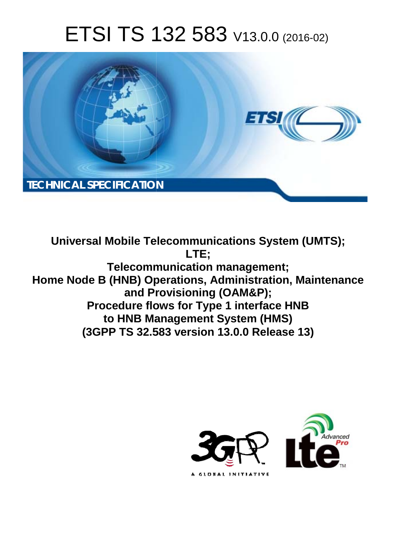# ETSI TS 132 583 V13.0.0 (2016-02)



**Universal Mobile Tel elecommunications System ( (UMTS); Telecomm munication management; Home Node B (HNB) Op perations, Administration, Ma Maintenance and Pr Provisioning (OAM&P); Procedure flows for Type 1 interface HNB to HNB Ma anagement System (HMS) (3GPP TS 32.5 .583 version 13.0.0 Release 13 13) LTE;** 

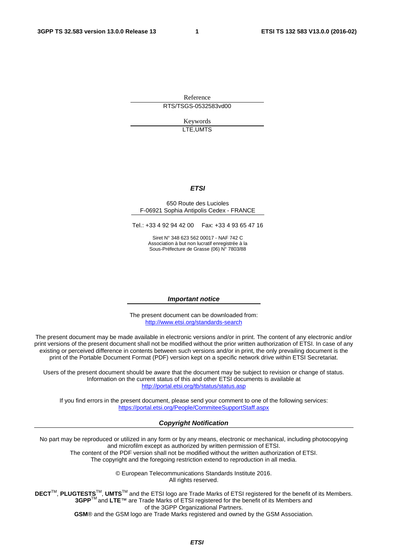Reference RTS/TSGS-0532583vd00

> Keywords LTE,UMTS

#### *ETSI*

#### 650 Route des Lucioles F-06921 Sophia Antipolis Cedex - FRANCE

Tel.: +33 4 92 94 42 00 Fax: +33 4 93 65 47 16

Siret N° 348 623 562 00017 - NAF 742 C Association à but non lucratif enregistrée à la Sous-Préfecture de Grasse (06) N° 7803/88

#### *Important notice*

The present document can be downloaded from: <http://www.etsi.org/standards-search>

The present document may be made available in electronic versions and/or in print. The content of any electronic and/or print versions of the present document shall not be modified without the prior written authorization of ETSI. In case of any existing or perceived difference in contents between such versions and/or in print, the only prevailing document is the print of the Portable Document Format (PDF) version kept on a specific network drive within ETSI Secretariat.

Users of the present document should be aware that the document may be subject to revision or change of status. Information on the current status of this and other ETSI documents is available at <http://portal.etsi.org/tb/status/status.asp>

If you find errors in the present document, please send your comment to one of the following services: <https://portal.etsi.org/People/CommiteeSupportStaff.aspx>

#### *Copyright Notification*

No part may be reproduced or utilized in any form or by any means, electronic or mechanical, including photocopying and microfilm except as authorized by written permission of ETSI.

The content of the PDF version shall not be modified without the written authorization of ETSI. The copyright and the foregoing restriction extend to reproduction in all media.

> © European Telecommunications Standards Institute 2016. All rights reserved.

**DECT**TM, **PLUGTESTS**TM, **UMTS**TM and the ETSI logo are Trade Marks of ETSI registered for the benefit of its Members. **3GPP**TM and **LTE**™ are Trade Marks of ETSI registered for the benefit of its Members and of the 3GPP Organizational Partners.

**GSM**® and the GSM logo are Trade Marks registered and owned by the GSM Association.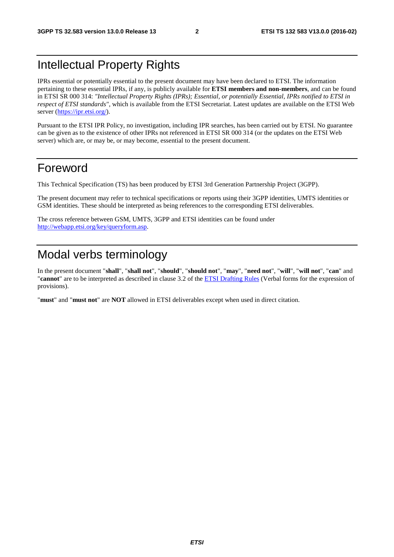# Intellectual Property Rights

IPRs essential or potentially essential to the present document may have been declared to ETSI. The information pertaining to these essential IPRs, if any, is publicly available for **ETSI members and non-members**, and can be found in ETSI SR 000 314: *"Intellectual Property Rights (IPRs); Essential, or potentially Essential, IPRs notified to ETSI in respect of ETSI standards"*, which is available from the ETSI Secretariat. Latest updates are available on the ETSI Web server [\(https://ipr.etsi.org/\)](https://ipr.etsi.org/).

Pursuant to the ETSI IPR Policy, no investigation, including IPR searches, has been carried out by ETSI. No guarantee can be given as to the existence of other IPRs not referenced in ETSI SR 000 314 (or the updates on the ETSI Web server) which are, or may be, or may become, essential to the present document.

## Foreword

This Technical Specification (TS) has been produced by ETSI 3rd Generation Partnership Project (3GPP).

The present document may refer to technical specifications or reports using their 3GPP identities, UMTS identities or GSM identities. These should be interpreted as being references to the corresponding ETSI deliverables.

The cross reference between GSM, UMTS, 3GPP and ETSI identities can be found under [http://webapp.etsi.org/key/queryform.asp.](http://webapp.etsi.org/key/queryform.asp)

# Modal verbs terminology

In the present document "**shall**", "**shall not**", "**should**", "**should not**", "**may**", "**need not**", "**will**", "**will not**", "**can**" and "**cannot**" are to be interpreted as described in clause 3.2 of the [ETSI Drafting Rules](http://portal.etsi.org/Help/editHelp!/Howtostart/ETSIDraftingRules.aspx) (Verbal forms for the expression of provisions).

"**must**" and "**must not**" are **NOT** allowed in ETSI deliverables except when used in direct citation.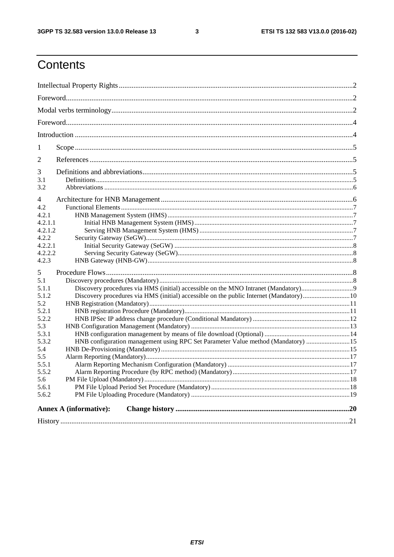$\mathbf{3}$ 

# Contents

| 1                             |                                                                                        |  |  |  |
|-------------------------------|----------------------------------------------------------------------------------------|--|--|--|
| 2                             |                                                                                        |  |  |  |
| 3                             |                                                                                        |  |  |  |
| 3.1                           |                                                                                        |  |  |  |
| 3.2                           |                                                                                        |  |  |  |
| 4                             |                                                                                        |  |  |  |
| 4.2                           |                                                                                        |  |  |  |
| 4.2.1                         |                                                                                        |  |  |  |
| 4.2.1.1                       |                                                                                        |  |  |  |
| 4.2.1.2                       |                                                                                        |  |  |  |
| 4.2.2                         |                                                                                        |  |  |  |
| 4.2.2.1                       |                                                                                        |  |  |  |
| 4.2.2.2                       |                                                                                        |  |  |  |
| 4.2.3                         |                                                                                        |  |  |  |
| 5                             |                                                                                        |  |  |  |
| 5.1                           |                                                                                        |  |  |  |
| 5.1.1                         |                                                                                        |  |  |  |
| 5.1.2                         | Discovery procedures via HMS (initial) accessible on the public Internet (Mandatory)10 |  |  |  |
| 5.2                           |                                                                                        |  |  |  |
| 5.2.1                         |                                                                                        |  |  |  |
| 5.2.2                         |                                                                                        |  |  |  |
| 5.3                           |                                                                                        |  |  |  |
| 5.3.1                         |                                                                                        |  |  |  |
| 5.3.2                         | HNB configuration management using RPC Set Parameter Value method (Mandatory)  15      |  |  |  |
| 5.4                           |                                                                                        |  |  |  |
| 5.5                           |                                                                                        |  |  |  |
| 5.5.1                         |                                                                                        |  |  |  |
| 5.5.2                         |                                                                                        |  |  |  |
| 5.6                           |                                                                                        |  |  |  |
| 5.6.1                         |                                                                                        |  |  |  |
| 5.6.2                         |                                                                                        |  |  |  |
| <b>Annex A (informative):</b> |                                                                                        |  |  |  |
|                               |                                                                                        |  |  |  |
|                               |                                                                                        |  |  |  |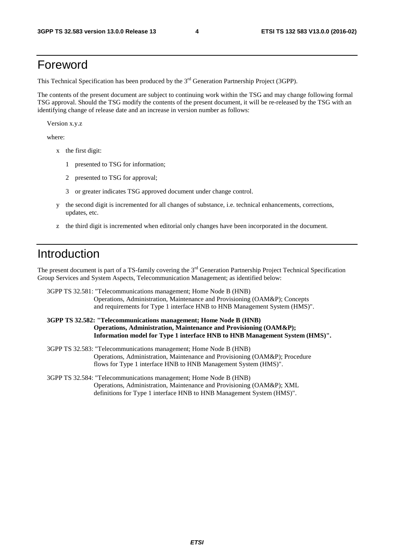### Foreword

This Technical Specification has been produced by the 3<sup>rd</sup> Generation Partnership Project (3GPP).

The contents of the present document are subject to continuing work within the TSG and may change following formal TSG approval. Should the TSG modify the contents of the present document, it will be re-released by the TSG with an identifying change of release date and an increase in version number as follows:

Version x.y.z

where:

- x the first digit:
	- 1 presented to TSG for information;
	- 2 presented to TSG for approval;
	- 3 or greater indicates TSG approved document under change control.
- y the second digit is incremented for all changes of substance, i.e. technical enhancements, corrections, updates, etc.
- z the third digit is incremented when editorial only changes have been incorporated in the document.

# Introduction

The present document is part of a TS-family covering the  $3<sup>rd</sup>$  Generation Partnership Project Technical Specification Group Services and System Aspects, Telecommunication Management; as identified below:

3GPP TS 32.581: "Telecommunications management; Home Node B (HNB) Operations, Administration, Maintenance and Provisioning (OAM&P); Concepts and requirements for Type 1 interface HNB to HNB Management System (HMS)".

#### **3GPP TS 32.582: "Telecommunications management; Home Node B (HNB) Operations, Administration, Maintenance and Provisioning (OAM&P); Information model for Type 1 interface HNB to HNB Management System (HMS)".**

- 3GPP TS 32.583: "Telecommunications management; Home Node B (HNB) Operations, Administration, Maintenance and Provisioning (OAM&P); Procedure flows for Type 1 interface HNB to HNB Management System (HMS)".
- 3GPP TS 32.584: "Telecommunications management; Home Node B (HNB) Operations, Administration, Maintenance and Provisioning (OAM&P); XML definitions for Type 1 interface HNB to HNB Management System (HMS)".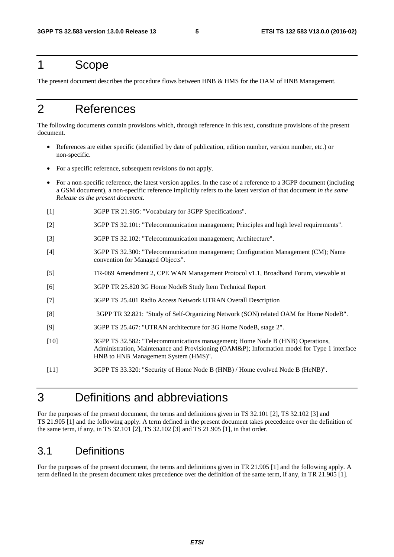### 1 Scope

The present document describes the procedure flows between HNB & HMS for the OAM of HNB Management.

# 2 References

The following documents contain provisions which, through reference in this text, constitute provisions of the present document.

- References are either specific (identified by date of publication, edition number, version number, etc.) or non-specific.
- For a specific reference, subsequent revisions do not apply.
- For a non-specific reference, the latest version applies. In the case of a reference to a 3GPP document (including a GSM document), a non-specific reference implicitly refers to the latest version of that document *in the same Release as the present document*.
- [1] 3GPP TR 21.905: "Vocabulary for 3GPP Specifications".
- [2] 3GPP TS 32.101: "Telecommunication management; Principles and high level requirements".
- [3] 3GPP TS 32.102: "Telecommunication management; Architecture".
- [4] 3GPP TS 32.300: "Telecommunication management; Configuration Management (CM); Name convention for Managed Objects".
- [5] TR-069 Amendment 2, CPE WAN Management Protocol v1.1, Broadband Forum, viewable at
- [6] 3GPP TR 25.820 3G Home NodeB Study Item Technical Report
- [7] 3GPP TS 25.401 Radio Access Network UTRAN Overall Description
- [8] 3GPP TR 32.821: "Study of Self-Organizing Network (SON) related OAM for Home NodeB".
- [9] 3GPP TS 25.467: "UTRAN architecture for 3G Home NodeB, stage 2".
- [10] 3GPP TS 32.582: "Telecommunications management; Home Node B (HNB) Operations, Administration, Maintenance and Provisioning (OAM&P); Information model for Type 1 interface HNB to HNB Management System (HMS)".
- [11] 3GPP TS 33.320: "Security of Home Node B (HNB) / Home evolved Node B (HeNB)".

# 3 Definitions and abbreviations

For the purposes of the present document, the terms and definitions given in TS 32.101 [2], TS 32.102 [3] and TS 21.905 [1] and the following apply. A term defined in the present document takes precedence over the definition of the same term, if any, in TS 32.101 [2], TS 32.102 [3] and TS 21.905 [1], in that order.

### 3.1 Definitions

For the purposes of the present document, the terms and definitions given in TR 21.905 [1] and the following apply. A term defined in the present document takes precedence over the definition of the same term, if any, in TR 21.905 [1].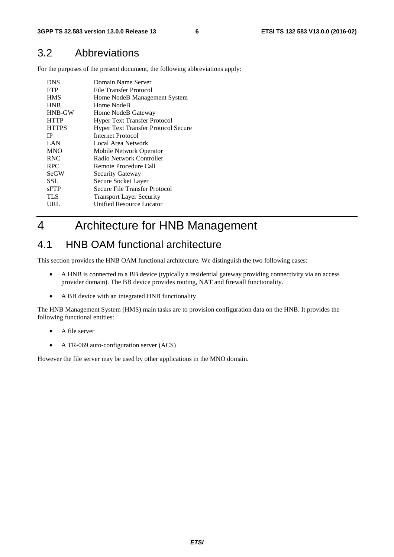### 3.2 Abbreviations

For the purposes of the present document, the following abbreviations apply:

| <b>DNS</b><br><b>FTP</b><br><b>HMS</b> | Domain Name Server<br>File Transfer Protocol<br>Home NodeB Management System |
|----------------------------------------|------------------------------------------------------------------------------|
| <b>HNB</b>                             | Home NodeB                                                                   |
| <b>HNB-GW</b>                          | Home NodeB Gateway                                                           |
| <b>HTTP</b>                            | <b>Hyper Text Transfer Protocol</b>                                          |
| <b>HTTPS</b>                           | Hyper Text Transfer Protocol Secure                                          |
| <b>IP</b>                              | Internet Protocol                                                            |
| LAN                                    | Local Area Network                                                           |
| <b>MNO</b>                             | Mobile Network Operator                                                      |
| <b>RNC</b>                             | Radio Network Controller                                                     |
| <b>RPC</b>                             | Remote Procedure Call                                                        |
| <b>SeGW</b>                            | <b>Security Gateway</b>                                                      |
| SSL                                    | Secure Socket Layer                                                          |
| sFTP                                   | Secure File Transfer Protocol                                                |
| TLS                                    | <b>Transport Layer Security</b>                                              |
| URL                                    | <b>Unified Resource Locator</b>                                              |
|                                        |                                                                              |

# 4 Architecture for HNB Management

### 4.1 HNB OAM functional architecture

This section provides the HNB OAM functional architecture. We distinguish the two following cases:

- A HNB is connected to a BB device (typically a residential gateway providing connectivity via an access provider domain). The BB device provides routing, NAT and firewall functionality.
- A BB device with an integrated HNB functionality

The HNB Management System (HMS) main tasks are to provision configuration data on the HNB. It provides the following functional entities:

- A file server
- A TR-069 auto-configuration server (ACS)

However the file server may be used by other applications in the MNO domain.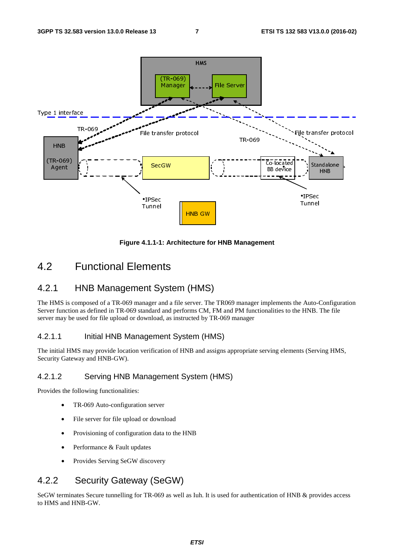

**Figure 4.1.1-1: Architecture for HNB Management** 

### 4.2 Functional Elements

#### 4.2.1 HNB Management System (HMS)

The HMS is composed of a TR-069 manager and a file server. The TR069 manager implements the Auto-Configuration Server function as defined in TR-069 standard and performs CM, FM and PM functionalities to the HNB. The file server may be used for file upload or download, as instructed by TR-069 manager

#### 4.2.1.1 Initial HNB Management System (HMS)

The initial HMS may provide location verification of HNB and assigns appropriate serving elements (Serving HMS, Security Gateway and HNB-GW).

#### 4.2.1.2 Serving HNB Management System (HMS)

Provides the following functionalities:

- TR-069 Auto-configuration server
- File server for file upload or download
- Provisioning of configuration data to the HNB
- Performance & Fault updates
- Provides Serving SeGW discovery

### 4.2.2 Security Gateway (SeGW)

SeGW terminates Secure tunnelling for TR-069 as well as Iuh. It is used for authentication of HNB & provides access to HMS and HNB-GW.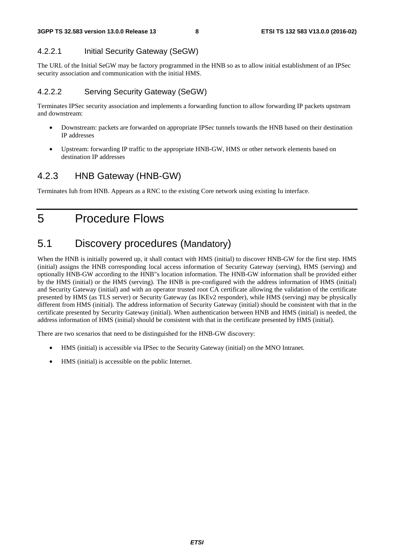#### 4.2.2.1 Initial Security Gateway (SeGW)

The URL of the Initial SeGW may be factory programmed in the HNB so as to allow initial establishment of an IPSec security association and communication with the initial HMS.

#### 4.2.2.2 Serving Security Gateway (SeGW)

Terminates IPSec security association and implements a forwarding function to allow forwarding IP packets upstream and downstream:

- Downstream: packets are forwarded on appropriate IPSec tunnels towards the HNB based on their destination IP addresses
- Upstream: forwarding IP traffic to the appropriate HNB-GW, HMS or other network elements based on destination IP addresses

### 4.2.3 HNB Gateway (HNB-GW)

Terminates Iuh from HNB. Appears as a RNC to the existing Core network using existing Iu interface.

5 Procedure Flows

# 5.1 Discovery procedures (Mandatory)

When the HNB is initially powered up, it shall contact with HMS (initial) to discover HNB-GW for the first step. HMS (initial) assigns the HNB corresponding local access information of Security Gateway (serving), HMS (serving) and optionally HNB-GW according to the HNB"s location information. The HNB-GW information shall be provided either by the HMS (initial) or the HMS (serving). The HNB is pre-configured with the address information of HMS (initial) and Security Gateway (initial) and with an operator trusted root CA certificate allowing the validation of the certificate presented by HMS (as TLS server) or Security Gateway (as IKEv2 responder), while HMS (serving) may be physically different from HMS (initial). The address information of Security Gateway (initial) should be consistent with that in the certificate presented by Security Gateway (initial). When authentication between HNB and HMS (initial) is needed, the address information of HMS (initial) should be consistent with that in the certificate presented by HMS (initial).

There are two scenarios that need to be distinguished for the HNB-GW discovery:

- HMS (initial) is accessible via IPSec to the Security Gateway (initial) on the MNO Intranet.
- HMS (initial) is accessible on the public Internet.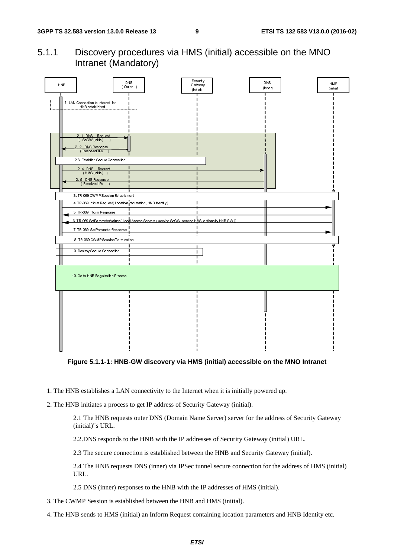5.1.1 Discovery procedures via HMS (initial) accessible on the MNO Intranet (Mandatory)



**Figure 5.1.1-1: HNB-GW discovery via HMS (initial) accessible on the MNO Intranet** 

- 1. The HNB establishes a LAN connectivity to the Internet when it is initially powered up.
- 2. The HNB initiates a process to get IP address of Security Gateway (initial).

2.1 The HNB requests outer DNS (Domain Name Server) server for the address of Security Gateway (initial)"s URL.

2.2.DNS responds to the HNB with the IP addresses of Security Gateway (initial) URL.

2.3 The secure connection is established between the HNB and Security Gateway (initial).

2.4 The HNB requests DNS (inner) via IPSec tunnel secure connection for the address of HMS (initial) URL.

2.5 DNS (inner) responses to the HNB with the IP addresses of HMS (initial).

3. The CWMP Session is established between the HNB and HMS (initial).

4. The HNB sends to HMS (initial) an Inform Request containing location parameters and HNB Identity etc.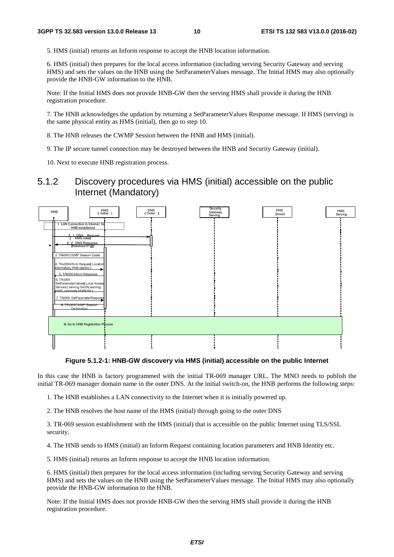5. HMS (initial) returns an Inform response to accept the HNB location information.

6. HMS (initial) then prepares for the local access information (including serving Security Gateway and serving HMS) and sets the values on the HNB using the SetParameterValues message. The Initial HMS may also optionally provide the HNB-GW information to the HNB.

Note: If the Initial HMS does not provide HNB-GW then the serving HMS shall provide it during the HNB registration procedure.

7. The HNB acknowledges the updation by returning a SetParameterValues Response message. If HMS (serving) is the same physical entity as HMS (initial), then go to step 10.

8. The HNB releases the CWMP Session between the HNB and HMS (initial).

9. The IP secure tunnel connection may be destroyed between the HNB and Security Gateway (initial).

10. Next to execute HNB registration process.

### 5.1.2 Discovery procedures via HMS (initial) accessible on the public Internet (Mandatory)



**Figure 5.1.2-1: HNB-GW discovery via HMS (initial) accessible on the public Internet**

In this case the HNB is factory programmed with the initial TR-069 manager URL. The MNO needs to publish the initial TR-069 manager domain name in the outer DNS. At the initial switch-on, the HNB performs the following steps:

1. The HNB establishes a LAN connectivity to the Internet when it is initially powered up.

2. The HNB resolves the host name of the HMS (initial) through going to the outer DNS

3. TR-069 session establishment with the HMS (initial) that is accessible on the public Internet using TLS/SSL security.

4. The HNB sends to HMS (initial) an Inform Request containing location parameters and HNB Identity etc.

5. HMS (initial) returns an Inform response to accept the HNB location information.

6. HMS (initial) then prepares for the local access information (including serving Security Gateway and serving HMS) and sets the values on the HNB using the SetParameterValues message. The Initial HMS may also optionally provide the HNB-GW information to the HNB.

Note: If the Initial HMS does not provide HNB-GW then the serving HMS shall provide it during the HNB registration procedure.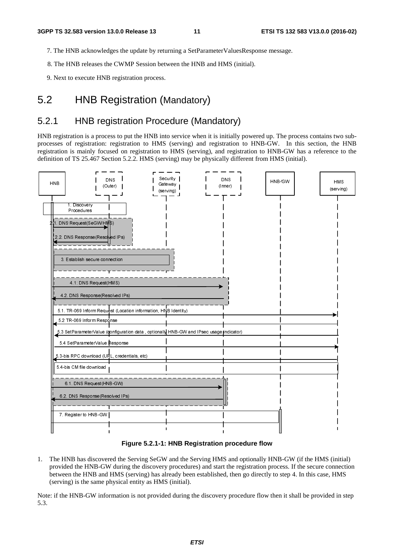- 7. The HNB acknowledges the update by returning a SetParameterValuesResponse message.
- 8. The HNB releases the CWMP Session between the HNB and HMS (initial).
- 9. Next to execute HNB registration process.

### 5.2 HNB Registration (Mandatory)

### 5.2.1 HNB registration Procedure (Mandatory)

HNB registration is a process to put the HNB into service when it is initially powered up. The process contains two subprocesses of registration: registration to HMS (serving) and registration to HNB-GW. In this section, the HNB registration is mainly focused on registration to HMS (serving), and registration to HNB-GW has a reference to the definition of TS 25.467 Section 5.2.2. HMS (serving) may be physically different from HMS (initial).



#### **Figure 5.2.1-1: HNB Registration procedure flow**

Find the HNB has discove<br>vided the HNB-GV<br>ween the HNB and<br>ving) is the same p<br>the HNB-GW info 1. The HNB has discovered the Serving SeGW and the Serving HMS and optionally HNB-GW (if the HMS (initial) provided the HNB-GW during the discovery procedures) and start the registration process. If the secure connection between the HNB and HMS (serving) has already been established, then go directly to step 4. In this case, HMS (serving) is the same physical entity as HMS (initial).

Note: if the HNB-GW information is not provided during the discovery procedure flow then it shall be provided in step 5.3.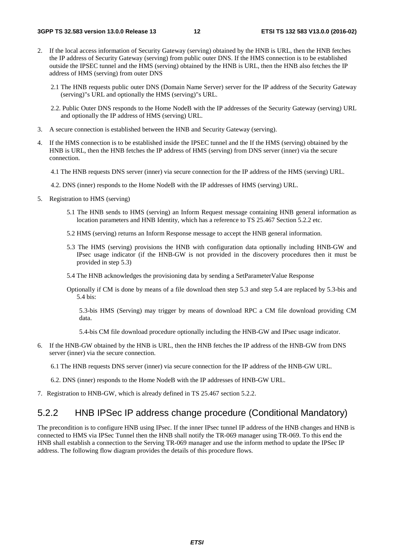- 2. If the local access information of Security Gateway (serving) obtained by the HNB is URL, then the HNB fetches the IP address of Security Gateway (serving) from public outer DNS. If the HMS connection is to be established outside the IPSEC tunnel and the HMS (serving) obtained by the HNB is URL, then the HNB also fetches the IP address of HMS (serving) from outer DNS
	- 2.1 The HNB requests public outer DNS (Domain Name Server) server for the IP address of the Security Gateway (serving)"s URL and optionally the HMS (serving)"s URL.
	- 2.2. Public Outer DNS responds to the Home NodeB with the IP addresses of the Security Gateway (serving) URL and optionally the IP address of HMS (serving) URL.
- 3. A secure connection is established between the HNB and Security Gateway (serving).
- 4. If the HMS connection is to be established inside the IPSEC tunnel and the If the HMS (serving) obtained by the HNB is URL, then the HNB fetches the IP address of HMS (serving) from DNS server (inner) via the secure connection.
	- 4.1 The HNB requests DNS server (inner) via secure connection for the IP address of the HMS (serving) URL.
	- 4.2. DNS (inner) responds to the Home NodeB with the IP addresses of HMS (serving) URL.
- 5. Registration to HMS (serving)
	- 5.1 The HNB sends to HMS (serving) an Inform Request message containing HNB general information as location parameters and HNB Identity, which has a reference to TS 25.467 Section 5.2.2 etc.
	- 5.2 HMS (serving) returns an Inform Response message to accept the HNB general information.
	- 5.3 The HMS (serving) provisions the HNB with configuration data optionally including HNB-GW and IPsec usage indicator (if the HNB-GW is not provided in the discovery procedures then it must be provided in step 5.3)
	- 5.4 The HNB acknowledges the provisioning data by sending a SetParameterValue Response
	- Optionally if CM is done by means of a file download then step 5.3 and step 5.4 are replaced by 5.3-bis and 5.4 bis:

5.3-bis HMS (Serving) may trigger by means of download RPC a CM file download providing CM data.

5.4-bis CM file download procedure optionally including the HNB-GW and IPsec usage indicator.

6. If the HNB-GW obtained by the HNB is URL, then the HNB fetches the IP address of the HNB-GW from DNS server (inner) via the secure connection.

6.1 The HNB requests DNS server (inner) via secure connection for the IP address of the HNB-GW URL.

- 6.2. DNS (inner) responds to the Home NodeB with the IP addresses of HNB-GW URL.
- 7. Registration to HNB-GW, which is already defined in TS 25.467 section 5.2.2.

#### 5.2.2 HNB IPSec IP address change procedure (Conditional Mandatory)

The precondition is to configure HNB using IPsec. If the inner IPsec tunnel IP address of the HNB changes and HNB is connected to HMS via IPSec Tunnel then the HNB shall notify the TR-069 manager using TR-069. To this end the HNB shall establish a connection to the Serving TR-069 manager and use the inform method to update the IPSec IP address. The following flow diagram provides the details of this procedure flows.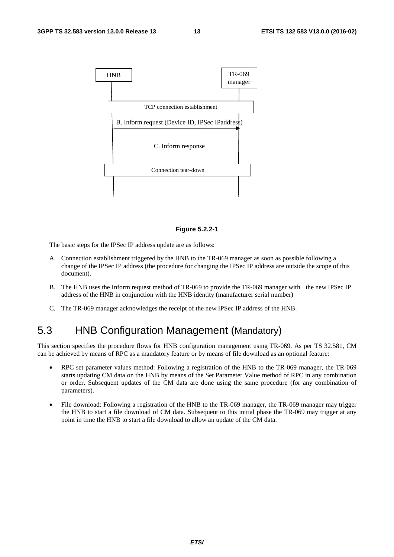

#### **Figure 5.2.2-1**

The basic steps for the IPSec IP address update are as follows:

- A. Connection establishment triggered by the HNB to the TR-069 manager as soon as possible following a change of the IPSec IP address (the procedure for changing the IPSec IP address are outside the scope of this document).
- B. The HNB uses the Inform request method of TR-069 to provide the TR-069 manager with the new IPSec IP address of the HNB in conjunction with the HNB identity (manufacturer serial number)
- C. The TR-069 manager acknowledges the receipt of the new IPSec IP address of the HNB.

### 5.3 HNB Configuration Management (Mandatory)

This section specifies the procedure flows for HNB configuration management using TR-069. As per TS 32.581, CM can be achieved by means of RPC as a mandatory feature or by means of file download as an optional feature:

- RPC set parameter values method: Following a registration of the HNB to the TR-069 manager, the TR-069 starts updating CM data on the HNB by means of the Set Parameter Value method of RPC in any combination or order. Subsequent updates of the CM data are done using the same procedure (for any combination of parameters).
- File download: Following a registration of the HNB to the TR-069 manager, the TR-069 manager may trigger the HNB to start a file download of CM data. Subsequent to this initial phase the TR-069 may trigger at any point in time the HNB to start a file download to allow an update of the CM data.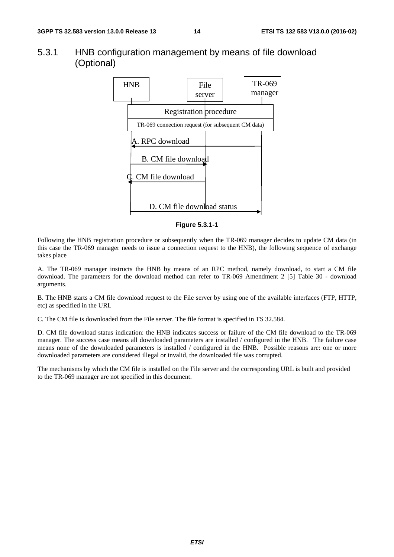#### 5.3.1 HNB configuration management by means of file download (Optional)



#### **Figure 5.3.1-1**

Following the HNB registration procedure or subsequently when the TR-069 manager decides to update CM data (in this case the TR-069 manager needs to issue a connection request to the HNB), the following sequence of exchange takes place

A. The TR-069 manager instructs the HNB by means of an RPC method, namely download, to start a CM file download. The parameters for the download method can refer to TR-069 Amendment 2 [5] Table 30 - download arguments.

B. The HNB starts a CM file download request to the File server by using one of the available interfaces (FTP, HTTP, etc) as specified in the URL

C. The CM file is downloaded from the File server. The file format is specified in TS 32.584.

D. CM file download status indication: the HNB indicates success or failure of the CM file download to the TR-069 manager. The success case means all downloaded parameters are installed / configured in the HNB. The failure case means none of the downloaded parameters is installed / configured in the HNB. Possible reasons are: one or more downloaded parameters are considered illegal or invalid, the downloaded file was corrupted.

The mechanisms by which the CM file is installed on the File server and the corresponding URL is built and provided to the TR-069 manager are not specified in this document.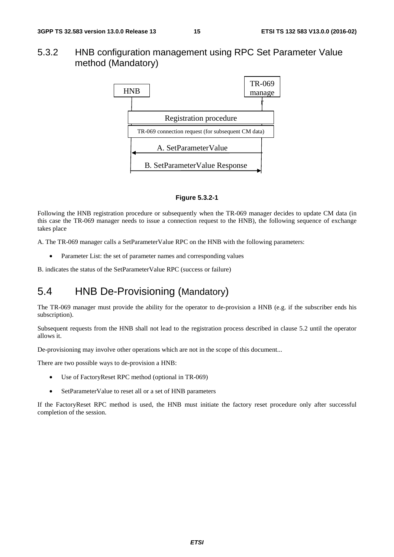#### 5.3.2 HNB configuration management using RPC Set Parameter Value method (Mandatory)



#### **Figure 5.3.2-1**

Following the HNB registration procedure or subsequently when the TR-069 manager decides to update CM data (in this case the TR-069 manager needs to issue a connection request to the HNB), the following sequence of exchange takes place

A. The TR-069 manager calls a SetParameterValue RPC on the HNB with the following parameters:

• Parameter List: the set of parameter names and corresponding values

B. indicates the status of the SetParameterValue RPC (success or failure)

### 5.4 HNB De-Provisioning (Mandatory)

The TR-069 manager must provide the ability for the operator to de-provision a HNB (e.g. if the subscriber ends his subscription).

Subsequent requests from the HNB shall not lead to the registration process described in clause 5.2 until the operator allows it.

De-provisioning may involve other operations which are not in the scope of this document...

There are two possible ways to de-provision a HNB:

- Use of FactoryReset RPC method (optional in TR-069)
- SetParameterValue to reset all or a set of HNB parameters

If the FactoryReset RPC method is used, the HNB must initiate the factory reset procedure only after successful completion of the session.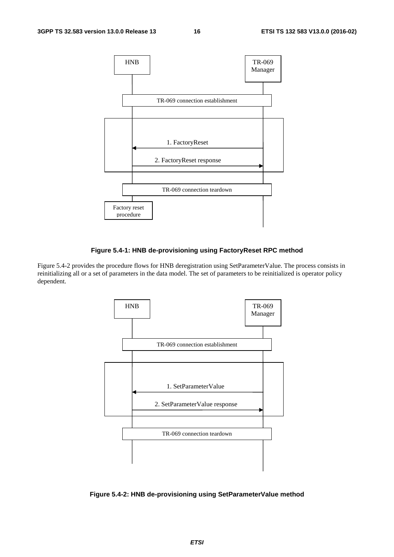

#### **Figure 5.4-1: HNB de-provisioning using FactoryReset RPC method**

Figure 5.4-2 provides the procedure flows for HNB deregistration using SetParameterValue. The process consists in reinitializing all or a set of parameters in the data model. The set of parameters to be reinitialized is operator policy dependent.



**Figure 5.4-2: HNB de-provisioning using SetParameterValue method**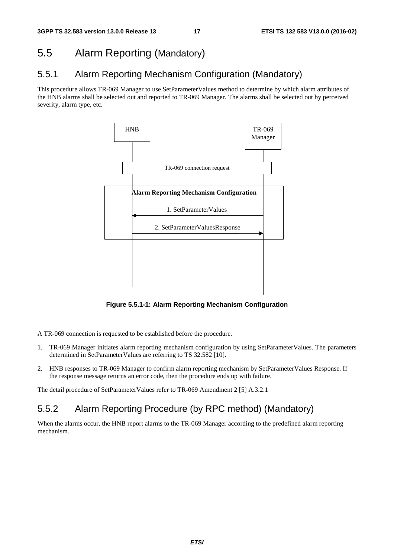### 5.5 Alarm Reporting (Mandatory)

### 5.5.1 Alarm Reporting Mechanism Configuration (Mandatory)

This procedure allows TR-069 Manager to use SetParameterValues method to determine by which alarm attributes of the HNB alarms shall be selected out and reported to TR-069 Manager. The alarms shall be selected out by perceived severity, alarm type, etc.



**Figure 5.5.1-1: Alarm Reporting Mechanism Configuration** 

A TR-069 connection is requested to be established before the procedure.

- 1. TR-069 Manager initiates alarm reporting mechanism configuration by using SetParameterValues. The parameters determined in SetParameterValues are referring to TS 32.582 [10].
- 2. HNB responses to TR-069 Manager to confirm alarm reporting mechanism by SetParameterValues Response. If the response message returns an error code, then the procedure ends up with failure.

The detail procedure of SetParameterValues refer to TR-069 Amendment 2 [5] A.3.2.1

### 5.5.2 Alarm Reporting Procedure (by RPC method) (Mandatory)

When the alarms occur, the HNB report alarms to the TR-069 Manager according to the predefined alarm reporting mechanism.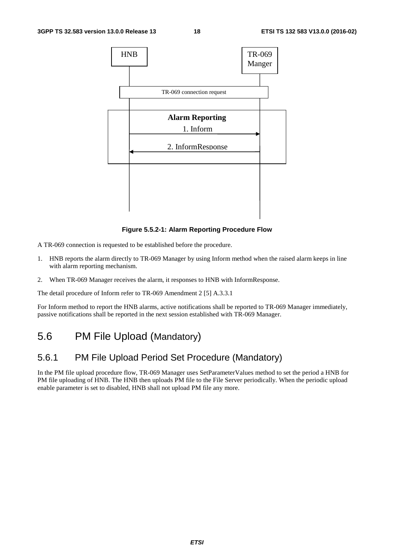

**Figure 5.5.2-1: Alarm Reporting Procedure Flow** 

A TR-069 connection is requested to be established before the procedure.

- 1. HNB reports the alarm directly to TR-069 Manager by using Inform method when the raised alarm keeps in line with alarm reporting mechanism.
- 2. When TR-069 Manager receives the alarm, it responses to HNB with InformResponse.

The detail procedure of Inform refer to TR-069 Amendment 2 [5] A.3.3.1

For Inform method to report the HNB alarms, active notifications shall be reported to TR-069 Manager immediately, passive notifications shall be reported in the next session established with TR-069 Manager.

### 5.6 PM File Upload (Mandatory)

### 5.6.1 PM File Upload Period Set Procedure (Mandatory)

In the PM file upload procedure flow, TR-069 Manager uses SetParameterValues method to set the period a HNB for PM file uploading of HNB. The HNB then uploads PM file to the File Server periodically. When the periodic upload enable parameter is set to disabled, HNB shall not upload PM file any more.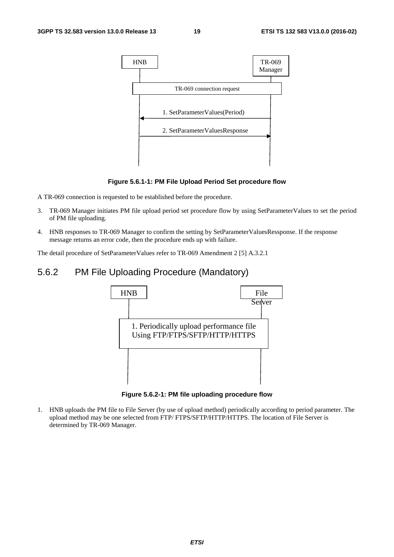

#### **Figure 5.6.1-1: PM File Upload Period Set procedure flow**

A TR-069 connection is requested to be established before the procedure.

- 3. TR-069 Manager initiates PM file upload period set procedure flow by using SetParameterValues to set the period of PM file uploading.
- 4. HNB responses to TR-069 Manager to confirm the setting by SetParameterValuesRessponse. If the response message returns an error code, then the procedure ends up with failure.

The detail procedure of SetParameterValues refer to TR-069 Amendment 2 [5] A.3.2.1

### 5.6.2 PM File Uploading Procedure (Mandatory)



**Figure 5.6.2-1: PM file uploading procedure flow** 

1. HNB uploads the PM file to File Server (by use of upload method) periodically according to period parameter. The upload method may be one selected from FTP/ FTPS/SFTP/HTTP/HTTPS. The location of File Server is determined by TR-069 Manager.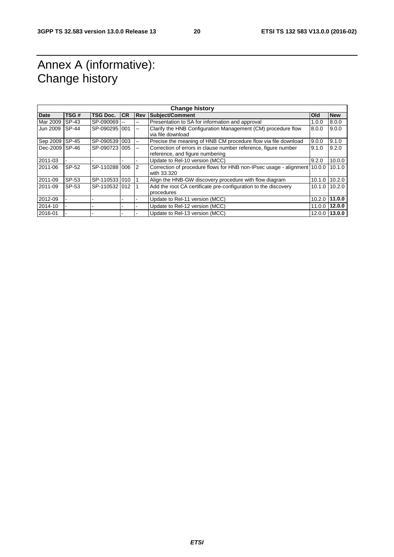# Annex A (informative): Change history

| <b>Change history</b> |              |                 |           |                          |                                                                                                   |                   |               |  |  |
|-----------------------|--------------|-----------------|-----------|--------------------------|---------------------------------------------------------------------------------------------------|-------------------|---------------|--|--|
| Date                  | TSG#         | <b>TSG Doc.</b> | <b>CR</b> | <b>Rev</b>               | Subiect/Comment                                                                                   | <b>Old</b>        | <b>New</b>    |  |  |
| Mar 2009              | SP-43        | SP-090069       |           | $\overline{\phantom{a}}$ | Presentation to SA for information and approval                                                   | 1.0.0             | 8.0.0         |  |  |
| Jun 2009              | <b>SP-44</b> | SP-090295 001   |           | $-$                      | Clarify the HNB Configuration Management (CM) procedure flow<br>via file download                 | 8.0.0             | 9.0.0         |  |  |
| Sep 2009              | $SP-45$      | SP-090539 003   |           | $\sim$ $\sim$            | Precise the meaning of HNB CM procedure flow via file download                                    | 9.0.0             | 9.1.0         |  |  |
| Dec-2009              | <b>SP-46</b> | SP-090723 005   |           | $\sim$ $\sim$            | Correction of errors in clause number reference, figure number<br>reference, and figure numbering | 9.1.0             | 9.2.0         |  |  |
| 2011-03               |              |                 |           |                          | Update to Rel-10 version (MCC)                                                                    | 9.2.0             | 10.0.0        |  |  |
| 2011-06               | SP-52        | SP-110288 006   |           | $\overline{2}$           | Correction of procedure flows for HNB non-IPsec usage - alignment 10.0.0<br>with 33.320           |                   | 10.1.0        |  |  |
| 2011-09               | SP-53        | SP-110533 010   |           |                          | Align the HNB-GW discovery procedure with flow diagram                                            | 10.1.0            | 10.2.0        |  |  |
| 2011-09               | SP-53        | SP-1105321012   |           |                          | Add the root CA certificate pre-configuration to the discovery<br>procedures                      | $10.1.0$   10.2.0 |               |  |  |
| 2012-09               |              |                 |           |                          | Update to Rel-11 version (MCC)                                                                    | $10.2.0$ 11.0.0   |               |  |  |
| 2014-10               |              |                 |           |                          | Update to Rel-12 version (MCC)                                                                    | 11.0.0 12.0.0     |               |  |  |
| 2016-01               |              |                 |           |                          | Update to Rel-13 version (MCC)                                                                    |                   | 12.0.0 13.0.0 |  |  |